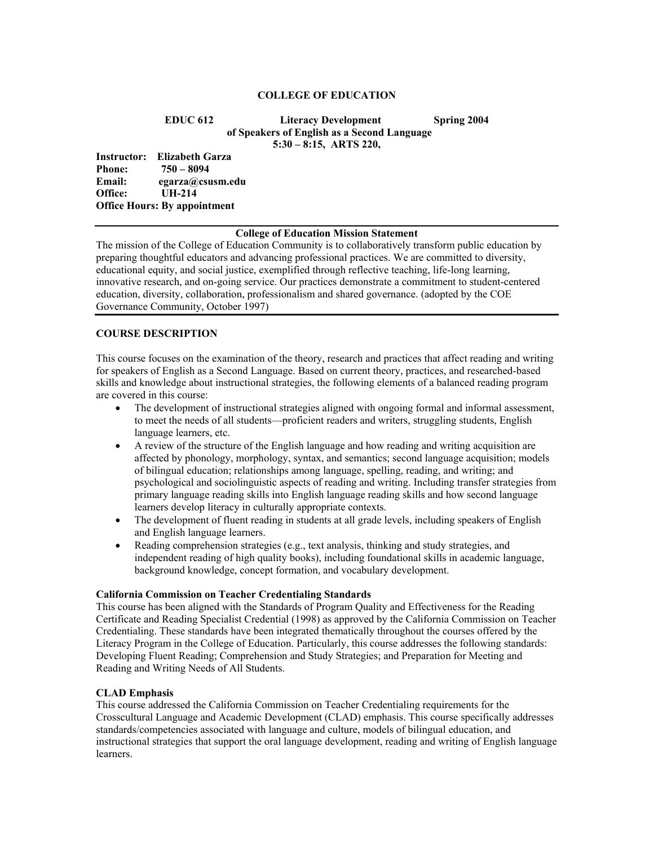#### **COLLEGE OF EDUCATION**

**EDUC 612 Literacy Development Spring 2004 of Speakers of English as a Second Language 5:30 – 8:15, ARTS 220,** 

**Instructor: Elizabeth Garza Phone: 750 – 8094 Email: egarza@csusm.edu Office: UH-214 Office Hours: By appointment** 

#### **College of Education Mission Statement**

The mission of the College of Education Community is to collaboratively transform public education by preparing thoughtful educators and advancing professional practices. We are committed to diversity, educational equity, and social justice, exemplified through reflective teaching, life-long learning, innovative research, and on-going service. Our practices demonstrate a commitment to student-centered education, diversity, collaboration, professionalism and shared governance. (adopted by the COE Governance Community, October 1997)

# **COURSE DESCRIPTION**

This course focuses on the examination of the theory, research and practices that affect reading and writing for speakers of English as a Second Language. Based on current theory, practices, and researched-based skills and knowledge about instructional strategies, the following elements of a balanced reading program are covered in this course:

- The development of instructional strategies aligned with ongoing formal and informal assessment, to meet the needs of all students—proficient readers and writers, struggling students, English language learners, etc.
- A review of the structure of the English language and how reading and writing acquisition are affected by phonology, morphology, syntax, and semantics; second language acquisition; models of bilingual education; relationships among language, spelling, reading, and writing; and psychological and sociolinguistic aspects of reading and writing. Including transfer strategies from primary language reading skills into English language reading skills and how second language learners develop literacy in culturally appropriate contexts.
- The development of fluent reading in students at all grade levels, including speakers of English and English language learners.
- Reading comprehension strategies (e.g., text analysis, thinking and study strategies, and independent reading of high quality books), including foundational skills in academic language, background knowledge, concept formation, and vocabulary development.

#### **California Commission on Teacher Credentialing Standards**

This course has been aligned with the Standards of Program Quality and Effectiveness for the Reading Certificate and Reading Specialist Credential (1998) as approved by the California Commission on Teacher Credentialing. These standards have been integrated thematically throughout the courses offered by the Literacy Program in the College of Education. Particularly, this course addresses the following standards: Developing Fluent Reading; Comprehension and Study Strategies; and Preparation for Meeting and Reading and Writing Needs of All Students.

## **CLAD Emphasis**

This course addressed the California Commission on Teacher Credentialing requirements for the Crosscultural Language and Academic Development (CLAD) emphasis. This course specifically addresses standards/competencies associated with language and culture, models of bilingual education, and instructional strategies that support the oral language development, reading and writing of English language learners.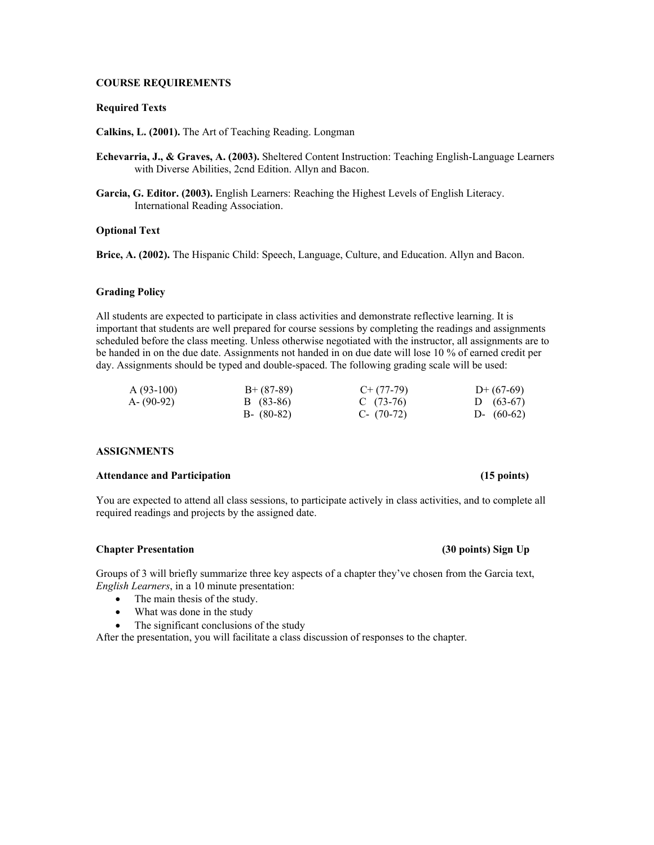## **COURSE REQUIREMENTS**

#### **Required Texts**

**Calkins, L. (2001).** The Art of Teaching Reading. Longman

- **Echevarria, J., & Graves, A. (2003).** Sheltered Content Instruction: Teaching English-Language Learners with Diverse Abilities, 2cnd Edition. Allyn and Bacon.
- **Garcia, G. Editor. (2003).** English Learners: Reaching the Highest Levels of English Literacy. International Reading Association.

## **Optional Text**

**Brice, A. (2002).** The Hispanic Child: Speech, Language, Culture, and Education. Allyn and Bacon.

#### **Grading Policy**

All students are expected to participate in class activities and demonstrate reflective learning. It is important that students are well prepared for course sessions by completing the readings and assignments scheduled before the class meeting. Unless otherwise negotiated with the instructor, all assignments are to be handed in on the due date. Assignments not handed in on due date will lose 10 % of earned credit per day. Assignments should be typed and double-spaced. The following grading scale will be used:

| $A(93-100)$   | $B+ (87-89)$  | $C+ (77-79)$ | $D+(67-69)$  |
|---------------|---------------|--------------|--------------|
| $A - (90-92)$ | B (83-86)     | C $(73-76)$  | D $(63-67)$  |
|               | $B - (80-82)$ | C- $(70-72)$ | D- $(60-62)$ |

#### **ASSIGNMENTS**

### **Attendance and Participation (15 points)**

You are expected to attend all class sessions, to participate actively in class activities, and to complete all required readings and projects by the assigned date.

#### **Chapter Presentation (30 points) Sign Up**

Groups of 3 will briefly summarize three key aspects of a chapter they've chosen from the Garcia text, *English Learners*, in a 10 minute presentation:

- The main thesis of the study.
- What was done in the study
- The significant conclusions of the study

After the presentation, you will facilitate a class discussion of responses to the chapter.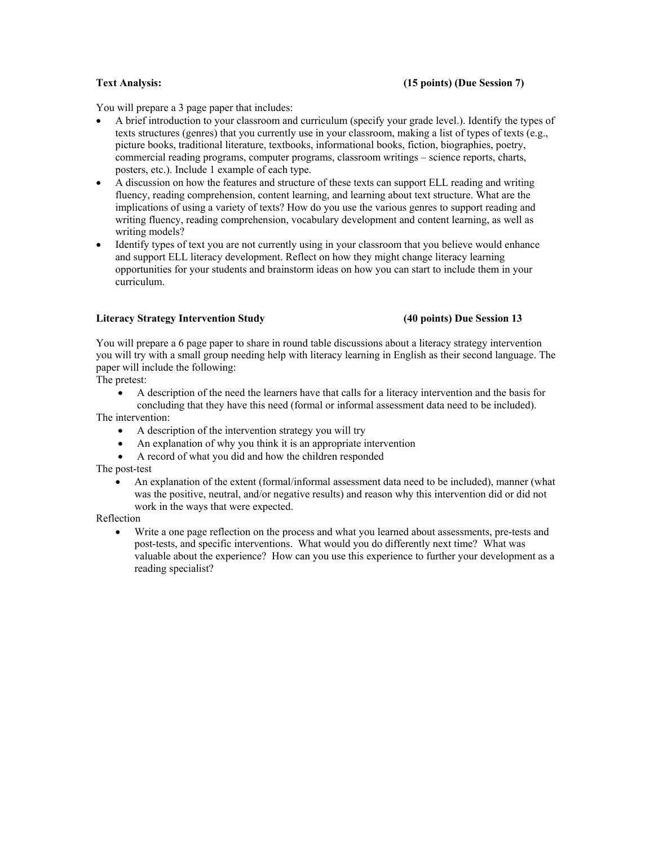## **Text Analysis: (15 points) (Due Session 7)**

You will prepare a 3 page paper that includes:

- A brief introduction to your classroom and curriculum (specify your grade level.). Identify the types of texts structures (genres) that you currently use in your classroom, making a list of types of texts (e.g., picture books, traditional literature, textbooks, informational books, fiction, biographies, poetry, commercial reading programs, computer programs, classroom writings – science reports, charts, posters, etc.). Include 1 example of each type.
- A discussion on how the features and structure of these texts can support ELL reading and writing fluency, reading comprehension, content learning, and learning about text structure. What are the implications of using a variety of texts? How do you use the various genres to support reading and writing fluency, reading comprehension, vocabulary development and content learning, as well as writing models?
- Identify types of text you are not currently using in your classroom that you believe would enhance and support ELL literacy development. Reflect on how they might change literacy learning opportunities for your students and brainstorm ideas on how you can start to include them in your curriculum.

## **Literacy Strategy Intervention Study (40 points) Due Session 13**

You will prepare a 6 page paper to share in round table discussions about a literacy strategy intervention you will try with a small group needing help with literacy learning in English as their second language. The paper will include the following:

The pretest:

• A description of the need the learners have that calls for a literacy intervention and the basis for concluding that they have this need (formal or informal assessment data need to be included).

The intervention:

- A description of the intervention strategy you will try
- An explanation of why you think it is an appropriate intervention
- A record of what you did and how the children responded

The post-test

• An explanation of the extent (formal/informal assessment data need to be included), manner (what was the positive, neutral, and/or negative results) and reason why this intervention did or did not work in the ways that were expected.

Reflection

• Write a one page reflection on the process and what you learned about assessments, pre-tests and post-tests, and specific interventions. What would you do differently next time? What was valuable about the experience? How can you use this experience to further your development as a reading specialist?